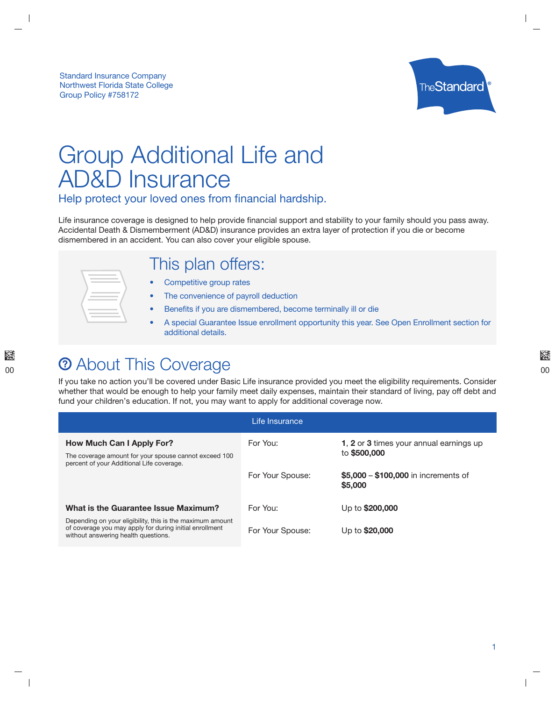

# Group Additional Life and **AD&D Insurance**

Help protect your loved ones from financial hardship.

Life insurance coverage is designed to help provide financial support and stability to your family should you pass away. Accidental Death & Dismemberment (AD&D) insurance provides an extra layer of protection if you die or become dismembered in an accident. You can also cover your eligible spouse.

### This plan offers:

- $\bullet$ Competitive group rates
- The convenience of payroll deduction
- Benefits if you are dismembered, become terminally ill or die  $\bullet$
- A special Guarantee Issue enrollment opportunity this year. See Open Enrollment section for additional details.

## **2 About This Coverage**

If you take no action you'll be covered under Basic Life insurance provided you meet the eligibility requirements. Consider whether that would be enough to help your family meet daily expenses, maintain their standard of living, pay off debt and fund your children's education. If not, you may want to apply for additional coverage now.

| Life Insurance                                                                                                                                              |                  |                                                         |  |  |
|-------------------------------------------------------------------------------------------------------------------------------------------------------------|------------------|---------------------------------------------------------|--|--|
| How Much Can I Apply For?<br>The coverage amount for your spouse cannot exceed 100<br>percent of your Additional Life coverage.                             | For You:         | 1, 2 or 3 times your annual earnings up<br>to \$500,000 |  |  |
|                                                                                                                                                             | For Your Spouse: | \$5,000 - \$100,000 in increments of<br>\$5,000         |  |  |
| What is the Guarantee Issue Maximum?                                                                                                                        | For You:         | Up to \$200,000                                         |  |  |
| Depending on your eligibility, this is the maximum amount<br>of coverage you may apply for during initial enrollment<br>without answering health questions. | For Your Spouse: | Up to \$20,000                                          |  |  |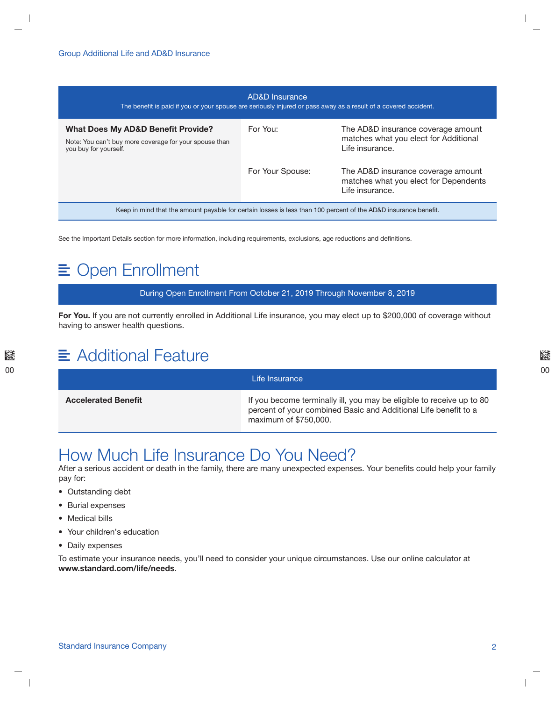| AD&D Insurance<br>The benefit is paid if you or your spouse are seriously injured or pass away as a result of a covered accident. |                  |                                                                                                |  |  |
|-----------------------------------------------------------------------------------------------------------------------------------|------------------|------------------------------------------------------------------------------------------------|--|--|
| <b>What Does My AD&amp;D Benefit Provide?</b><br>Note: You can't buy more coverage for your spouse than<br>you buy for yourself.  | For You:         | The AD&D insurance coverage amount<br>matches what you elect for Additional<br>Life insurance. |  |  |
|                                                                                                                                   | For Your Spouse: | The AD&D insurance coverage amount<br>matches what you elect for Dependents<br>Life insurance. |  |  |
| Keep in mind that the amount payable for certain losses is less than 100 percent of the AD&D insurance benefit.                   |                  |                                                                                                |  |  |

See the Important Details section for more information, including requirements, exclusions, age reductions and definitions.

### **≣ Open Enrollment**

During Open Enrollment From October 21, 2019 Through November 8, 2019

For You. If you are not currently enrolled in Additional Life insurance, you may elect up to \$200,000 of coverage without having to answer health questions.

### $\equiv$  Additional Feature

|                            | Life Insurance                                                                                                                                                    |
|----------------------------|-------------------------------------------------------------------------------------------------------------------------------------------------------------------|
| <b>Accelerated Benefit</b> | If you become terminally ill, you may be eligible to receive up to 80<br>percent of your combined Basic and Additional Life benefit to a<br>maximum of \$750,000. |

### How Much Life Insurance Do You Need?

After a serious accident or death in the family, there are many unexpected expenses. Your benefits could help your family pay for:

- Outstanding debt
- Burial expenses
- Medical bills
- Your children's education
- Daily expenses

To estimate your insurance needs, you'll need to consider your unique circumstances. Use our online calculator at www.standard.com/life/needs.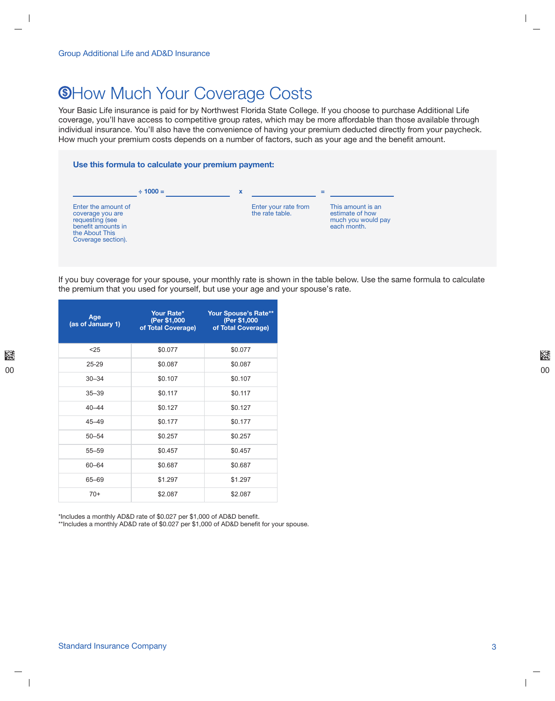### **®How Much Your Coverage Costs**

Your Basic Life insurance is paid for by Northwest Florida State College. If you choose to purchase Additional Life coverage, you'll have access to competitive group rates, which may be more affordable than those available through individual insurance. You'll also have the convenience of having your premium deducted directly from your paycheck. How much your premium costs depends on a number of factors, such as your age and the benefit amount.

#### Use this formula to calculate your premium payment:



If you buy coverage for your spouse, your monthly rate is shown in the table below. Use the same formula to calculate the premium that you used for yourself, but use your age and your spouse's rate.

| Age<br>(as of January 1) | Your Rate*<br>(Per \$1,000<br>of Total Coverage) | <b>Your Spouse's Rate**</b><br>(Per \$1,000<br>of Total Coverage) |
|--------------------------|--------------------------------------------------|-------------------------------------------------------------------|
| < 25                     | \$0.077                                          | \$0.077                                                           |
| 25-29                    | \$0.087                                          | \$0.087                                                           |
| $30 - 34$                | \$0.107                                          | \$0.107                                                           |
| $35 - 39$                | \$0.117                                          | \$0.117                                                           |
| $40 - 44$                | \$0.127                                          | \$0.127                                                           |
| $45 - 49$                | \$0.177                                          | \$0.177                                                           |
| $50 - 54$                | \$0.257                                          | \$0.257                                                           |
| $55 - 59$                | \$0.457                                          | \$0.457                                                           |
| $60 - 64$                | \$0.687                                          | \$0.687                                                           |
| 65-69                    | \$1.297                                          | \$1.297                                                           |
| $70+$                    | \$2.087                                          | \$2.087                                                           |

\*Includes a monthly AD&D rate of \$0.027 per \$1,000 of AD&D benefit.

\*\*Includes a monthly AD&D rate of \$0.027 per \$1,000 of AD&D benefit for your spouse.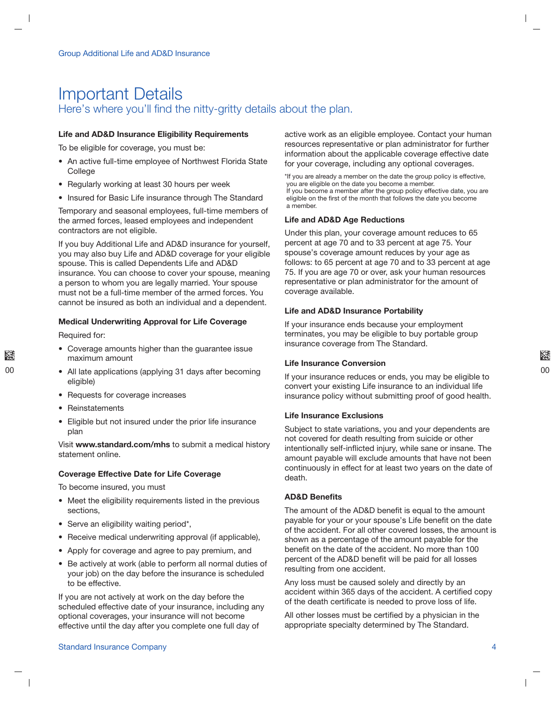### **Important Details** Here's where you'll find the nitty-gritty details about the plan.

#### **Life and AD&D Insurance Eligibility Requirements**

To be eligible for coverage, you must be:

- An active full-time employee of Northwest Florida State College
- Regularly working at least 30 hours per week
- Insured for Basic Life insurance through The Standard

Temporary and seasonal employees, full-time members of the armed forces, leased employees and independent contractors are not eligible.

If you buy Additional Life and AD&D insurance for yourself, you may also buy Life and AD&D coverage for your eligible spouse. This is called Dependents Life and AD&D insurance. You can choose to cover your spouse, meaning a person to whom you are legally married. Your spouse must not be a full-time member of the armed forces. You cannot be insured as both an individual and a dependent.

#### **Medical Underwriting Approval for Life Coverage**

Required for:

- Coverage amounts higher than the guarantee issue maximum amount
- All late applications (applying 31 days after becoming eligible)
- Requests for coverage increases
- Reinstatements
- Eligible but not insured under the prior life insurance plan

Visit www.standard.com/mhs to submit a medical history statement online.

#### **Coverage Effective Date for Life Coverage**

To become insured, you must

- Meet the eligibility requirements listed in the previous sections,
- Serve an eligibility waiting period\*,
- Receive medical underwriting approval (if applicable),
- Apply for coverage and agree to pay premium, and
- Be actively at work (able to perform all normal duties of your job) on the day before the insurance is scheduled to be effective.

If you are not actively at work on the day before the scheduled effective date of your insurance, including any optional coverages, your insurance will not become effective until the day after you complete one full day of

active work as an eligible employee. Contact your human resources representative or plan administrator for further information about the applicable coverage effective date for your coverage, including any optional coverages.

\*If you are already a member on the date the group policy is effective, you are eligible on the date you become a member. If you become a member after the group policy effective date, you are eligible on the first of the month that follows the date you become a member.

#### **Life and AD&D Age Reductions**

Under this plan, your coverage amount reduces to 65 percent at age 70 and to 33 percent at age 75. Your spouse's coverage amount reduces by your age as follows: to 65 percent at age 70 and to 33 percent at age 75. If you are age 70 or over, ask your human resources representative or plan administrator for the amount of coverage available.

#### **Life and AD&D Insurance Portability**

If your insurance ends because your employment terminates, you may be eligible to buy portable group insurance coverage from The Standard.

#### **Life Insurance Conversion**

If your insurance reduces or ends, you may be eligible to convert your existing Life insurance to an individual life insurance policy without submitting proof of good health.

#### **Life Insurance Exclusions**

Subject to state variations, you and your dependents are not covered for death resulting from suicide or other intentionally self-inflicted injury, while sane or insane. The amount payable will exclude amounts that have not been continuously in effect for at least two years on the date of death.

#### **AD&D Benefits**

The amount of the AD&D benefit is equal to the amount payable for your or your spouse's Life benefit on the date of the accident. For all other covered losses, the amount is shown as a percentage of the amount payable for the benefit on the date of the accident. No more than 100 percent of the AD&D benefit will be paid for all losses resulting from one accident.

Any loss must be caused solely and directly by an accident within 365 days of the accident. A certified copy of the death certificate is needed to prove loss of life.

All other losses must be certified by a physician in the appropriate specialty determined by The Standard.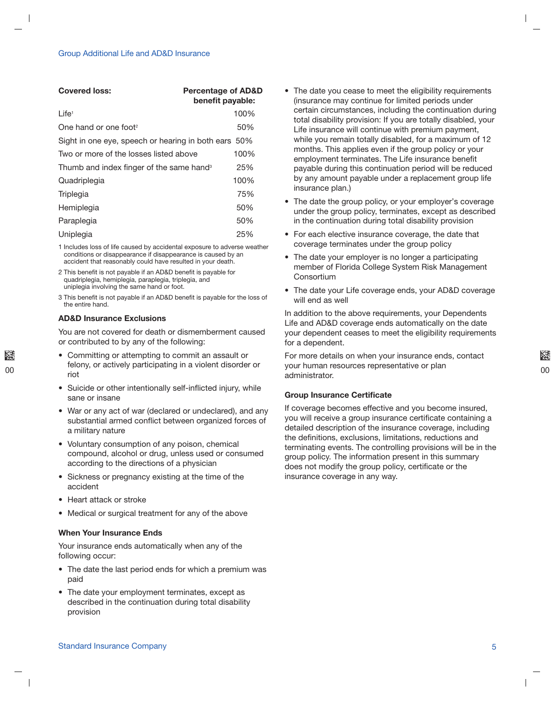| <b>Covered loss:</b>                                 | <b>Percentage of AD&amp;D</b><br>benefit payable: |
|------------------------------------------------------|---------------------------------------------------|
| Life <sup>1</sup>                                    | 100%                                              |
| One hand or one foot <sup>2</sup>                    | 50%                                               |
| Sight in one eye, speech or hearing in both ears 50% |                                                   |
| Two or more of the losses listed above               | 100%                                              |
| Thumb and index finger of the same hand <sup>3</sup> | 25%                                               |
| Quadriplegia                                         | 100%                                              |
| Triplegia                                            | 75%                                               |
| Hemiplegia                                           | 50%                                               |
| Paraplegia                                           | 50%                                               |
| Uniplegia                                            | 25%                                               |

1 Includes loss of life caused by accidental exposure to adverse weather conditions or disappearance if disappearance is caused by an accident that reasonably could have resulted in your death.

2 This benefit is not payable if an AD&D benefit is payable for quadriplegia, hemiplegia, paraplegia, triplegia, and uniplegia involving the same hand or foot.

3 This benefit is not payable if an AD&D benefit is payable for the loss of the entire hand

#### **AD&D Insurance Exclusions**

You are not covered for death or dismemberment caused or contributed to by any of the following:

- Committing or attempting to commit an assault or felony, or actively participating in a violent disorder or riot
- Suicide or other intentionally self-inflicted injury, while sane or insane
- War or any act of war (declared or undeclared), and any substantial armed conflict between organized forces of a military nature
- Voluntary consumption of any poison, chemical compound, alcohol or drug, unless used or consumed according to the directions of a physician
- Sickness or pregnancy existing at the time of the accident
- Heart attack or stroke
- Medical or surgical treatment for any of the above

#### When Your Insurance Ends

Your insurance ends automatically when any of the following occur:

- The date the last period ends for which a premium was paid
- The date your employment terminates, except as described in the continuation during total disability provision
- The date you cease to meet the eligibility requirements (insurance may continue for limited periods under certain circumstances, including the continuation during total disability provision: If you are totally disabled, your Life insurance will continue with premium payment, while you remain totally disabled, for a maximum of 12 months. This applies even if the group policy or your employment terminates. The Life insurance benefit payable during this continuation period will be reduced by any amount payable under a replacement group life insurance plan.)
- The date the group policy, or your employer's coverage under the group policy, terminates, except as described in the continuation during total disability provision
- For each elective insurance coverage, the date that coverage terminates under the group policy
- The date your employer is no longer a participating member of Florida College System Risk Management Consortium
- The date your Life coverage ends, your AD&D coverage will end as well

In addition to the above requirements, your Dependents Life and AD&D coverage ends automatically on the date your dependent ceases to meet the eligibility requirements for a dependent.

For more details on when your insurance ends, contact your human resources representative or plan administrator.

#### Group Insurance Certificate

If coverage becomes effective and you become insured, you will receive a group insurance certificate containing a detailed description of the insurance coverage, including the definitions, exclusions, limitations, reductions and terminating events. The controlling provisions will be in the group policy. The information present in this summary does not modify the group policy, certificate or the insurance coverage in any way.